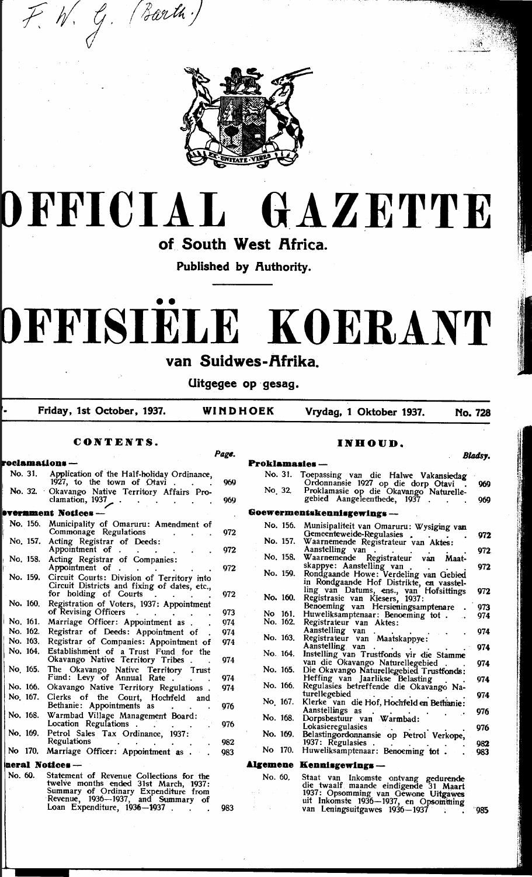

## DFFICIAI  $\bf{GAZETTE}$

of South West Africa.

Published by Authority.

# DFFISIELE KOERANT

### van Suidwes-Afrika.

Uitgegee op gesag.

Friday, 1st October, 1937.

WINDHOEK Vrydag, 1 Oktober 1937.

**No. 728** 

|          | CUN LEN LS.                                                                                                                                  |       |                       | INHUUD.                                                                                                              |               |
|----------|----------------------------------------------------------------------------------------------------------------------------------------------|-------|-----------------------|----------------------------------------------------------------------------------------------------------------------|---------------|
|          |                                                                                                                                              | Page. |                       |                                                                                                                      | <b>Bladsy</b> |
|          | roclamations —                                                                                                                               |       | <b>Proklamasies</b> - |                                                                                                                      |               |
| No. 31.  | Application of the Half-holiday Ordinance,<br>1927, to the town of Otavi.                                                                    | 969   |                       | No. 31. Toepassing van die Halwe Vakansiedag<br>Ordonnansie 1927 op die dorp Otavi                                   | 969           |
| No. 32.  | Okavango Native Territory Affairs Pro-<br>clamation, 1937                                                                                    | 969   | No. 32.               | Proklamasie op die Okavango Naturelle-<br>gebied Aangeleenthede, 1937.                                               | 969           |
|          | <b>vernment Notices –</b>                                                                                                                    |       |                       | Goewermentskennisgewings-                                                                                            |               |
|          | No. 156. Municipality of Omaruru: Amendment of                                                                                               |       |                       |                                                                                                                      |               |
|          | Commonage Regulations<br>No. 157. Acting Registrar of Deeds:                                                                                 | 972   | No. 157.              | No. 156. Munisipaliteit van Omaruru: Wysiging van<br>Gemeenteweide-Regulasies                                        | 972           |
|          | Appointment of .<br>$\sim 10^{-10}$                                                                                                          | 972   |                       | Waarnemende Registrateur van Aktes:<br>Aanstelling van.                                                              | 972           |
|          | No. 158. Acting Registrar of Companies:<br>Appointment of .                                                                                  |       |                       | No. 158. Waarnemende Registrateur van Maat-<br>skappye: Aanstelling van.                                             | 972           |
| No. 159. | $\bullet$ . The second second second $\bullet$<br>Circuit Courts: Division of Territory into<br>Circuit Districts and fixing of dates, etc., | 972   | No. 159.              | Rondgaande Howe: Verdeling van Gebied<br>in Rondgaande Hof Distrikte, en vasstel-                                    |               |
| No. 160. | for holding of Courts<br>Registration of Voters, 1937: Appointment                                                                           | 972   |                       | ling van Datums, ens., van Hofsittings<br>No. 160. Registrasie van Kiesers, 1937:                                    | 972           |
|          | of Revising Officers<br>$\sim$                                                                                                               | 973   | No. 161.              | Benoeming van Hersieningsamptenare<br>Huweliksamptenaar: Benoeming tot.                                              | 973           |
| No. 161. | Marriage Officer: Appointment as .                                                                                                           | 974   | No. 162.              | Registrateur van Aktes:                                                                                              | 974           |
| No. 162. | Registrar of Deeds: Appointment of                                                                                                           | 974   |                       | Aanstelling van.                                                                                                     | 974           |
| No. 163. | Registrar of Companies: Appointment of                                                                                                       | 974   |                       | No. 163. Registrateur van Maatskappye:                                                                               |               |
|          | No. 164. Establishment of a Trust Fund for the<br>Okavango Native Territory Tribes.                                                          | 974   |                       | Aanstelling van.<br>No. 164. Instelling van Trustfonds vir die Stamme                                                | 974           |
| No. 165. | The Okavango Native Territory Trust<br>Fund: Levy of Annual Rate.                                                                            | 974   | No. 165.              | van die Okavango Naturellegebied<br>Die Okavango Naturellegebied Trustfonds:<br>Heffing van Jaarlikse Belasting      | 974           |
|          | No. 166. Okavango Native Territory Regulations.                                                                                              | 974   | No. 166.              | Regulasies betreffende die Okavango Na-                                                                              | 974           |
| No. 167. | Clerks of the Court, Hochfeld                                                                                                                |       |                       | turellegebied                                                                                                        | 974           |
|          | and<br>Bethanie: Appointments as                                                                                                             | 976   | No 167.               | Klerke van die Hof, Hochfeld en Bethanie:<br>Aanstellings as                                                         | 976           |
|          | No. 168. Warmbad Village Management Board:<br>Location Regulations .                                                                         | 976   | No. 168.              | Dorpsbestuur van Warmbad:                                                                                            |               |
| No. 169. | Petrol Sales Tax Ordinance, 1937:<br>Regulations                                                                                             | 982   | No. 169.              | Lokasieregulasies<br>Belastingordonnansie op Petrol Verkope,                                                         | 976           |
|          | No 170. Marriage Officer: Appointment as .                                                                                                   | 983   |                       | 1937: Regulasies .<br>No 170. Huweliksamptenaar: Benoeming tot.                                                      | 982<br>983    |
|          | neral Notices-                                                                                                                               |       |                       | Algemene Kennisgewings-                                                                                              |               |
| No. 60.  | Statement of Revenue Collections for the                                                                                                     |       | No. 60.               |                                                                                                                      |               |
|          | twelve months ended 31st March, 1937:<br>Summary of Ordinary Expenditure from                                                                |       |                       | Staat van Inkomste ontvang gedurende<br>die twaalf maande eindigende 31 Maart<br>1937: Opsomming van Gewone Uitgawes |               |
|          | Revenue, 1936—1937, and Summary of<br>Loan Expenditure, 1936-1937.                                                                           | 983   |                       | uit Inkomste 1936-1937, en Opsomming<br>van Leningsuitgawes 1936-1937                                                | ™985          |
|          |                                                                                                                                              |       |                       |                                                                                                                      |               |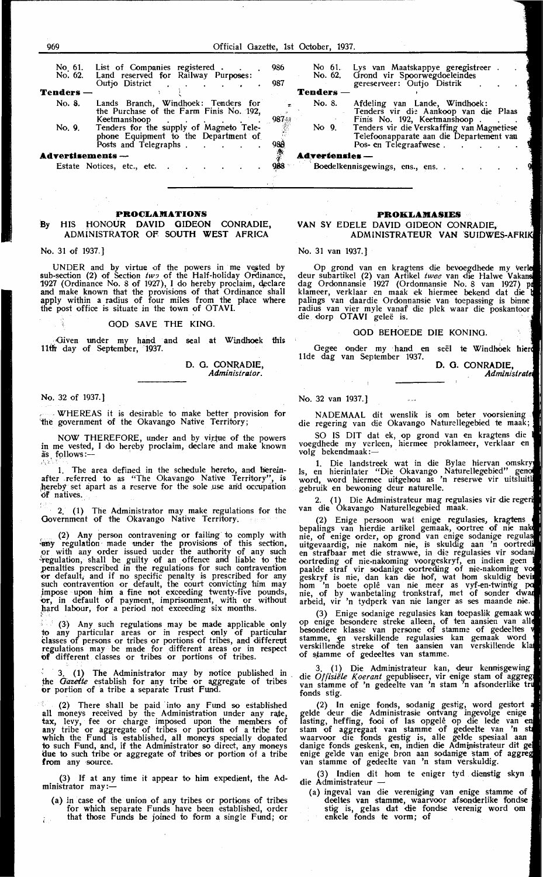| No 61.<br>No. 62. | List of Companies registered.<br>Land reserved for Railway Purposes:<br>Outjo District                   | 986<br>987            | No 61.<br>No. 62. | Lys van<br>Grond v<br>gereserve  |
|-------------------|----------------------------------------------------------------------------------------------------------|-----------------------|-------------------|----------------------------------|
| <b>Tenders</b>    |                                                                                                          |                       | <b>Tenders</b>    |                                  |
| No. 8.            | Lands Branch, Windhoek: Tenders for<br>the Purchase of the Farm Finis No. 192.<br>Keetmanshoop           |                       | No. 8.            | Afdeling<br>Tenders<br>Finis No  |
| No. 9.            | Tenders for the supply of Magneto Tele-<br>phone Equipment to the Department of<br>Posts and Telegraphs. | 987<br>988            | No 9.             | Tenders<br>Telefoon<br>Pos- en 7 |
| Advertisements -- |                                                                                                          | <b>Advertensies</b> — |                   |                                  |

Estate Notices, etc., etc..

#### **PROCLAMATIONS**

#### By HIS HONOUR DAVID GIDEON CONRADIE, ADMINISTRATOR OF SOUTH WEST AFRICA

No. 31 of 1937.]

UNDER and by virtue of the powers in me veyted by sub-section (2) of Section  $tw_2$  of the Half-holiday Ordinance, 1927 (Ordinance No. 8 of 1927), I do hereby proclaim, declare and make known that the provisions of that Ordinance shall apply within a radius of four miles from the place where the post offioe is situate in the town of OTAVI.

GOD SAVE THE KINO.

Given under my hand and seal at Windhoek this 11th day of September, 1937.

> D. G. CONRADIE, *Administrator.*

No. 32 of 1937.]

. WHEREAS it is desirable to make better provision for 'the government of the Okavango Native Territory;

NOW THEREFORE, under and by virtue of the powers in me vested, I do hereby proclaim, declare and make known  $\overline{\text{as}}$  follows :-<br>1 The

The area defined in the schedule hereto, and hereinafter referred to as "The Okavango Native Territory" hereby set apart as a reserve for the sole use and occupation of natives.

ţ. 2. (1) The Administrator may make regulations for the Government of the Okavango Native Territory.

(2) Any person contravening or failing to comply with early regulation made under the provisions of this section, or with any order issued under the authority of any such regulation, shall be guilty of an offence and liable to the penalties prescribed in the regulations for such contravention or default, and if no specific penalty is prescribed for any such contravention or default, tbe oourt convicting him may impose upon him a fine not exceeding twenty-five pounds, or, in default of payment, imprisonment, with or without hard labour, for a period not exceeding six months.

(3) Any such regulations may be made applicable only to any particular areas or in respect only of particular classes of persons or tribes or portions of tribes, and different regulations may be made for different areas or in respect of different classes or tribes or portions of tribes.

: 3. (1) The Administrator may by notice published in the *Gazette* establish for any tribe or aggregate of tribes or portion of a tribe a separate Trust Fund.

(2) There shall be paid into any Fund so established all moneys received by the Administration under any rate,<br>tax, levy, fee or charge imposed upon the members of any tribe or aggregate of tribes or portion of a tribe for which the Fund is established, all moneys specially dopated to such Fund, and, if the Administrator so direct, any moneys due to such tribe or aggregate of tribes or portion of a tribe from any source.

(3) If at any time it appear to him expedient, the Administrator may:-

(a) *in* case of the union of any tribes or portions of tribes for which separate Funds have been established, order that those Funds be joined to form a single Fund; or

| No 61.        | Lys van Maatskappye geregistreer.<br>No. 62. Grond vir Spoorwegdoeleindes<br>gereserveer: Outjo Distrik          |  |  |  |  |
|---------------|------------------------------------------------------------------------------------------------------------------|--|--|--|--|
| enders        |                                                                                                                  |  |  |  |  |
| No. 8.        | Afdeling van Lande, Windhoek:<br>Tenders vir die Aankoop van die Plaas<br>Finis No. 192, Keetmanshoop.           |  |  |  |  |
| No 9.         | Tenders vir die Verskaffing van Magnetiese<br>Telefoonapparate aan die Departement van<br>Pos- en Telegraafwese. |  |  |  |  |
| lvertensies — |                                                                                                                  |  |  |  |  |

Boedelkennisgewings, ens., ens..

#### **PROKLAMASIES**

#### VAN SY EDELE DAVID GIDEON CONRADIE, ADMINISTRATEUR VAN

No. 31 van 1937.]

Op grond van en kragtens die bevoegdhede deur subartikel (2) van Artikel twee van die Halwe dag Ordonnansie 1927 (Ordonnansie No. 8 van 1927) klameer, V•erklaar en maak ek hiermee bekend dat die palings van daardie Ordonnansie van toepassing is binne radius van vier myle vanaf die plek waar die poskantoor<br>die dorp OTAVI geleë is.

#### GOD BEHOEDE DIE KONING.

Gegee onder my hand en seël te Windhoek hierd 11de dag van September 1937.

D. G. CONRADIE, Administrate

No. 32 van 1937.]

NADEMAAL dit wenslik is om beter voorsiening die regering van die Okavango Naturellegebied te maak;

SO IS DIT dat ek, op grond van en kragtens die voegdhede my verleen, hiermee proklameer, verklaar en<br>volg bekendmaak :—

1. Die landstreek wat in die Bylae hiervan ls, en hierinlater "Die Okavango Naturellegebied" word, word hiermee uitgehou as 'n reserwe vir gebruik en bewoning deur naturelle.

2. ( 1) Die Administrateur mag regulasies vir die van die Okavango Naturellegebied maak.

(2) Enige persoon wat enige regulasies, kragtens bepalings van hierdie artikel gemaak, oortree of nie nie, of enige order, op grond van enige sodanige regulas<br>uitgevaardig, nie nakom nie, is skuldig aan 'n oortredi en strafbaar met die strawwe, in die regulasies vir oortreding of nie-nakoming voorgeskryf, en indien paalde straf vir sodanige oortreding of nie-nakoming<br>geskryf is nie, dan kan die hof, wat hom skuldig b hom 'n boete oplê van nie meer as vyf-en-twinti<sub>i</sub><br>nie, of by wanbetaling tronkstraf, met of sonder arbeid, vir 'n tydperk van nie Ianger as ses maande

(3) Enige sodanige regulasies kan toepaslik gemaak op enige besondere streke alleen, of ten aansien van a<br>besondere klasse van persone of stamme of gedeeltes stamme, en verskillende regulasies kan gemaak word<br>verskillende streke of ten aansien van verskillende kl of stamme of gedeeltes van stamme.

3. (1) Die Administrateur kan, deur kennisgewing die *Offisiële Koerant* gepubliseer, vir enige stam of van stamme of 'n gedeelte van 'n stam 'n afsonder fonds stig.

(2) In enige fonds, sodanig gelde deur die Administrasie ontvang ingevolge enige lasting, heffing, fooi of las opgelê op die lede van<br>stam of aggregaat van stamme of gedeelte van 'n<br>waarvoor die fonds gestig is, alle gelde spesiaal a: danige fonds geskenk, en, indien die Administrateur<br>enige gelde van enige bron aan sodanige stam of<br>van stamme of gedeelte van 'n stam verskuldig.

Indien dit hom te eniger tyd dienstig skyn die Administrateur

(a) ingeval van die vereniging van enige stamme of deeltes van stamme, waarvoor afsonderlike fondse stig is, gelas dat die fondse verenig word om<br>enkele fonds te vorm; of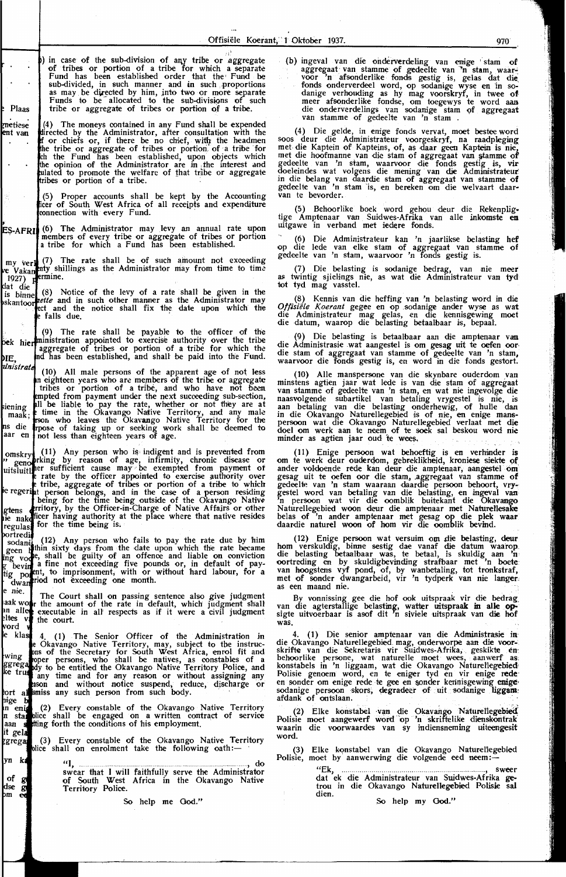- in case of the sub-division of any tribe or aggregate of tribes or portion of a tribe for which a separate Fund has been established order that the• Fund be sub-divided, in such manner and in such proportions as may be directed by him, into two or more separate Funds to be aUocated to the sub-divisions of such  $\vert$  tribe or aggregate of tribes or portion of a tribe.
- $(4)$ The moneys contained in any Fund shall be expended e directed by the Administrator, after consultation with the r chiefs or, if there be no chief, with the headmen<br>tribe or aggregate of tribes or portion. of a tribe for the Fund has been established, upon objects which of the Administrator are in the interest and to promote the welfare of that tribe or aggregate or portion of a tribe.

(5) Proper accounts shall be kept by the Accounting<br>cer of South West Africa of all receipts and expenditure connection with every Fund.

(6) Th.e Administrator may levy an an:nual rate upon members of every tribe or aggregate of tribes or portion a tribe for which a Fund has been established.

shall be of such amount not exceeding the Administrator may from time to time ermine. - p

ie Notice of the levy of a rate shall be given in the and in such other manner as the Administrator may and the notice shall fix the date upon which the e falls due.

The rate shall be payable to the officer of the appointed to exercise authority over the tribe of tribes or portion of a tribe for which the been established, and shaH be paid into the Fund.

ate (10) All male persons of the apparent age of not less eighteen years who are members of the tribe or aggregate 'bes or portion of a tribe, and who have not been from payment under the next succeeding sub-section, liable to pay the rate, whether or not they are at in the Okavango Native Territory, and any male who leaves the Okavango Native Territory for the of taking up or seeking work shall be deemed to less than eighteen. years of age.

11) Any person who is indigent and is prevented from<br>ing by reason of age, infirmity, chronic disease or<br>sufficient cause may be exempted from payment of The rate by the officer appointed to exercise authority over<br>
re tribe, aggregate of tribes or portion of a tribe to which<br>
right person belongs, and in the case of a person residing for the time being outside of the Okavango Native, by the Officer-in-Charge of Native Affairs or other authority at the place where that native resides for the time being is.

(12) Any person who fails to pay the rate due by him in sixty days from the date upon which the rate became shall be guilty of an offence and liable on conviction fine not exceeding five pounds or, in default of payto imprisonment, with or without hard labour, for a not exceeding one month.

The Court shall on passing sentence also give judgment<br>the amount of the rate in default, which judgment shall executable in all respects as if it were a civil judgment the court.

4. (1) The Senior Officer of the Administration in Okavango Native Territory, may, subject to tbe instruc-of the Secretary for South West Africa, enrol fit and r persons, who shall be natives, as constables of a<br>to be entitled the Okavango Native Territory Police, and time and for any reason or without assigning any and without notice suspend, reduce, discharge or any such person from such body.

(2) Every constable of the Okavango Native Territory blice shall be engaged on a written contract of service forth the conditions of his employment.

(3) Every constable of the Okavango Native Territory<br>ce shall on enrolment take the following oath:—

"I, ... .. ..................................................................... , do swear that I will faithfully serve the Administrator of South West Africa in the Okavango Native Territory Police.

So help me God."

(b) ingeval van die onderverdeling van enige stam of aggregaat van stamme of gedeelte van ~n stam, waar-: voor 'n afsonderlike fonds gestig is, gelas dat die. fonds onderverdeel word, op sodanige wyse en in so-<br>danige verhouding as hy mag voorskryf, in twee of<br>meer afsonderlike fondse, om toegewys te word aan<br>die onderverdelings van sodanige stam of aggregaat<br>van stamme of gedee

(4) Die gelde, in enige fonds vervat, moet bestee word soos deur die Administrateur voorgeskryf, na raadpleging met die Kaptein of Kapteins, of, as daar geen Kaptein is nie,<br>met die hoofmanne van die stam of aggregaat van stamme of gedeelte van 'n stam, waarvoor die fonds gestig is, vir doeleindes wat volgens die mening van die Administrateur<br>in die belang van daardie stam of aggregaat van stamme of gedeelte van 'n stam is, en bereken om die welvaart daar-<br>van te bevorder.

(5) Behoorlike hoek word gehou deur die Rekenpligtige Amptenaar van Suidwes-Afrika van alle inkomste en<br>uitgawe in verband met iedere fonds.

(6) Die Administrateur kan 'n jaarlikse belasting hef<br>op die lede van elke stam of aggregaat van stamme of gedeelte van 'n stam, waarvoor 'n fonds gestig is.

(7) Die belasting is sodanige bedrag, van nie meoer as: twintig sjieHngs nie, as wat di·e Administrateur van tyd tot tyd mag vasstel.

(8) Kennis van die heffing van 'n belasting word in die Offisiële Koerant gegee en op sodanige ander wyse as wat die Administrateur mag gelas, en die kennisgewing moet die datum, waarop die belasting betaalbaar is, bepaal.

(9) Die belasting is betaalbaar aan die amptenaar van die Administrasie wat aangestel is om gesag uit te oefen oordie stam of aggregaat van stamme of gedeelte van 'n stam, waarvoor die fonds gestig is, en word in die fonds

(10) Alle manspersone van die skynbare ouderdom van minstens agtien jaar wat Iede is van die stam of aggregaat van stamme of gedeelte van 'n stam, en wat nie ingevolge die naasvolgende subartikel van betaling vrygestel is nie, is aan betaling van die belasting onderhewig, of hulle dan in die Okavango Naturellegebied is of nie, en enige mans- persoon wat die Okavango Naturellegebied verlaat met die doel om werk aan te neem of te soek sal beskou word nie minder as agtien jaar oud te wees.

(11) Enige persoon wat behoeftig is en verhmder is om te werk deur ouderqom, gebr·eklilcheid, kroniese siekte of ander voldoende rede kan deur die amptenaar, aangestel om' gesag uit te oefen oor die stam., .aggregaat van stamme of gedeelte van 'n stam waaraan daardie persoon behoort, vrygestel word van betaling van die belasting, en ingeval van<br>'n persoon wat vir die oomblik buitekant die Okavango Naturellegebied woon deur die amptenaar met Naturellesake belas of 'n ander amptenaar met gesag op die plek waar daardie naturel woon of hom vir die oomblik bevind.

(12) Enige persoon wat versuim om die belasting, deur hom verskuldig, binne sestig dae vanaf die datum waarop die belasting betaalbaar was, te betaal, is skuldig aan 'n oortreding en by skuldigbevinding strafbaar met 'n boete van hoogstens vyf pond, of, by wanbetaling, tot tr we betassuit of sonder dwangarbeid, vir 'n tydperk van hoogsterste van hoogsters vyf pond, of, by wanbetaling, tot tronkstraf, met of sonder dwangarbeid, vir 'n tydperk van nie langer-<br>as een maand nie.

By vonnissing gee die hof ook uitspraak vir die bedrag<br>van die agterstallige belasting, watter uitspraak in alle opsigte uitvoerbaar is asof dit 'n siviele uitspraak van die hof was.

(1) Die senior amptenaar van die Administrasie indie Okavango Naturellegebied mag, onderworpe aan die voor--<br>skrifte van die Sekretaris vir Suidwes-Afrika, geskikte en:<br>behoorlike persone, wat naturelle moet wees, aanwerf as, konstabels in 'n liggaam, wat die Okavango Naturellegebied: Polisie genoem word, en te eniger tyd en vir enige rede-<br>en sonder om enige rede te gee en sonder kennisgewing enige sodanige persoon skors, degradeer of uit sodanige liggam. afdank of ontslaan.

(2) Elke konstabel van die Okavango Naturellegebied Polisie moet aangewerf word 'op 'n skriftelike dienskoritrak waarin die voorwaardes van sy indiensneming uiteengesit word.

(3) Elke konstabel van die Okavango Naturellegebied<br>Polisie, moet by aanwerwing die volgende eed neem :--

"Ek, ........................................................................ , sweer dat ek die Administrateur van Suidwes-Afrika getrou in die Okavango Naturellegebied Polisie sal dien.

.So help my God."